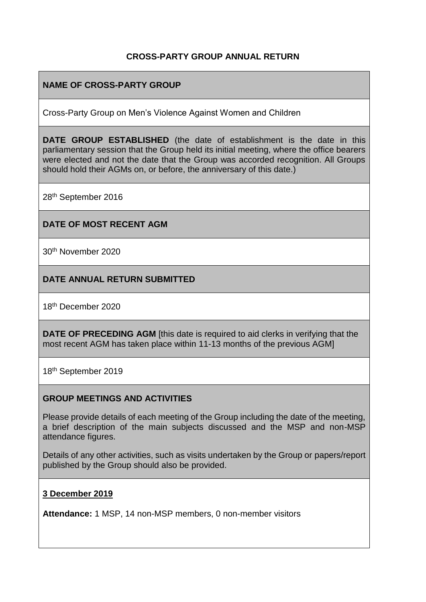## **CROSS-PARTY GROUP ANNUAL RETURN**

## **NAME OF CROSS-PARTY GROUP**

Cross-Party Group on Men's Violence Against Women and Children

**DATE GROUP ESTABLISHED** (the date of establishment is the date in this parliamentary session that the Group held its initial meeting, where the office bearers were elected and not the date that the Group was accorded recognition. All Groups should hold their AGMs on, or before, the anniversary of this date.)

28th September 2016

#### **DATE OF MOST RECENT AGM**

30th November 2020

### **DATE ANNUAL RETURN SUBMITTED**

18th December 2020

**DATE OF PRECEDING AGM** [this date is required to aid clerks in verifying that the most recent AGM has taken place within 11-13 months of the previous AGM]

18th September 2019

#### **GROUP MEETINGS AND ACTIVITIES**

Please provide details of each meeting of the Group including the date of the meeting, a brief description of the main subjects discussed and the MSP and non-MSP attendance figures.

Details of any other activities, such as visits undertaken by the Group or papers/report published by the Group should also be provided.

#### **3 December 2019**

**Attendance:** 1 MSP, 14 non-MSP members, 0 non-member visitors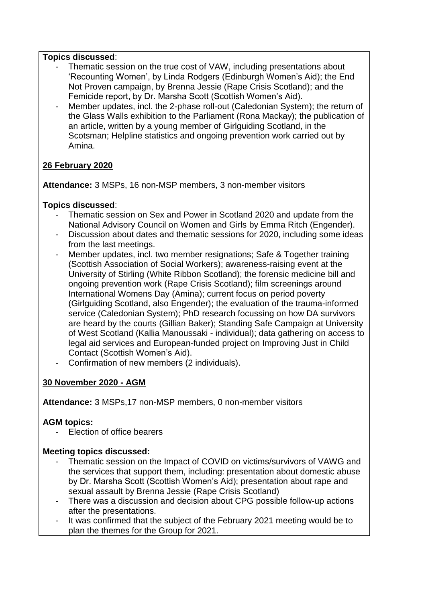### **Topics discussed**:

- Thematic session on the true cost of VAW, including presentations about 'Recounting Women', by Linda Rodgers (Edinburgh Women's Aid); the End Not Proven campaign, by Brenna Jessie (Rape Crisis Scotland); and the Femicide report, by Dr. Marsha Scott (Scottish Women's Aid).
- Member updates, incl. the 2-phase roll-out (Caledonian System); the return of the Glass Walls exhibition to the Parliament (Rona Mackay); the publication of an article, written by a young member of Girlguiding Scotland, in the Scotsman; Helpline statistics and ongoing prevention work carried out by Amina.

# **26 February 2020**

**Attendance:** 3 MSPs, 16 non-MSP members, 3 non-member visitors

### **Topics discussed**:

- Thematic session on Sex and Power in Scotland 2020 and update from the National Advisory Council on Women and Girls by Emma Ritch (Engender).
- Discussion about dates and thematic sessions for 2020, including some ideas from the last meetings.
- Member updates, incl. two member resignations; Safe & Together training (Scottish Association of Social Workers); awareness-raising event at the University of Stirling (White Ribbon Scotland); the forensic medicine bill and ongoing prevention work (Rape Crisis Scotland); film screenings around International Womens Day (Amina); current focus on period poverty (Girlguiding Scotland, also Engender); the evaluation of the trauma-informed service (Caledonian System); PhD research focussing on how DA survivors are heard by the courts (Gillian Baker); Standing Safe Campaign at University of West Scotland (Kallia Manoussaki - individual); data gathering on access to legal aid services and European-funded project on Improving Just in Child Contact (Scottish Women's Aid).
- Confirmation of new members (2 individuals).

# **30 November 2020 - AGM**

**Attendance:** 3 MSPs,17 non-MSP members, 0 non-member visitors

## **AGM topics:**

- Election of office bearers

## **Meeting topics discussed:**

- Thematic session on the Impact of COVID on victims/survivors of VAWG and the services that support them, including: presentation about domestic abuse by Dr. Marsha Scott (Scottish Women's Aid); presentation about rape and sexual assault by Brenna Jessie (Rape Crisis Scotland)
- There was a discussion and decision about CPG possible follow-up actions after the presentations.
- It was confirmed that the subject of the February 2021 meeting would be to plan the themes for the Group for 2021.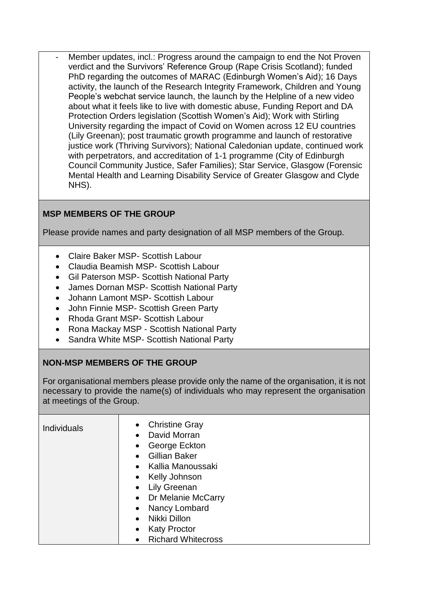Member updates, incl.: Progress around the campaign to end the Not Proven verdict and the Survivors' Reference Group (Rape Crisis Scotland); funded PhD regarding the outcomes of MARAC (Edinburgh Women's Aid); 16 Days activity, the launch of the Research Integrity Framework, Children and Young People's webchat service launch, the launch by the Helpline of a new video about what it feels like to live with domestic abuse, Funding Report and DA Protection Orders legislation (Scottish Women's Aid); Work with Stirling University regarding the impact of Covid on Women across 12 EU countries (Lily Greenan); post traumatic growth programme and launch of restorative justice work (Thriving Survivors): National Caledonian update, continued work with perpetrators, and accreditation of 1-1 programme (City of Edinburgh Council Community Justice, Safer Families); Star Service, Glasgow (Forensic Mental Health and Learning Disability Service of Greater Glasgow and Clyde NHS).

# **MSP MEMBERS OF THE GROUP**

Please provide names and party designation of all MSP members of the Group.

- Claire Baker MSP- Scottish Labour
- Claudia Beamish MSP- Scottish Labour
- Gil Paterson MSP- Scottish National Party
- James Dornan MSP- Scottish National Party
- Johann Lamont MSP- Scottish Labour
- John Finnie MSP- Scottish Green Party
- Rhoda Grant MSP- Scottish Labour
- Rona Mackay MSP Scottish National Party
- Sandra White MSP- Scottish National Party

# **NON-MSP MEMBERS OF THE GROUP**

For organisational members please provide only the name of the organisation, it is not necessary to provide the name(s) of individuals who may represent the organisation at meetings of the Group.

| <b>Individuals</b> | <b>Christine Gray</b><br>$\bullet$<br>David Morran<br>$\bullet$<br>George Eckton<br>$\bullet$<br><b>Gillian Baker</b><br>Kallia Manoussaki<br>$\bullet$<br>• Kelly Johnson<br>• Lily Greenan<br>• Dr Melanie McCarry<br>Nancy Lombard<br>$\bullet$<br>Nikki Dillon<br>$\bullet$<br><b>Katy Proctor</b><br>$\bullet$ |
|--------------------|---------------------------------------------------------------------------------------------------------------------------------------------------------------------------------------------------------------------------------------------------------------------------------------------------------------------|
|                    | <b>Richard Whitecross</b>                                                                                                                                                                                                                                                                                           |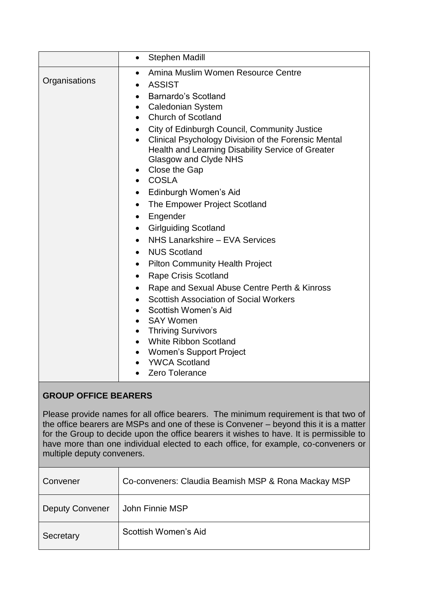|               | <b>Stephen Madill</b><br>$\bullet$                                                                                                                                                                                                                                                                                                                                                                                                                                                                                                                                                                                                                                                                                                                                                                                                     |
|---------------|----------------------------------------------------------------------------------------------------------------------------------------------------------------------------------------------------------------------------------------------------------------------------------------------------------------------------------------------------------------------------------------------------------------------------------------------------------------------------------------------------------------------------------------------------------------------------------------------------------------------------------------------------------------------------------------------------------------------------------------------------------------------------------------------------------------------------------------|
| Organisations | Amina Muslim Women Resource Centre<br>$\bullet$<br><b>ASSIST</b><br>Barnardo's Scotland<br>$\bullet$<br>Caledonian System<br>$\bullet$<br>• Church of Scotland<br>City of Edinburgh Council, Community Justice<br>Clinical Psychology Division of the Forensic Mental<br>$\bullet$<br>Health and Learning Disability Service of Greater<br>Glasgow and Clyde NHS<br>Close the Gap<br>$\bullet$<br>• COSLA<br>Edinburgh Women's Aid<br>The Empower Project Scotland<br>$\bullet$<br>Engender<br>$\bullet$<br><b>Girlguiding Scotland</b><br>$\bullet$<br>NHS Lanarkshire - EVA Services<br>$\bullet$<br><b>NUS Scotland</b><br>$\bullet$<br>• Pilton Community Health Project<br><b>Rape Crisis Scotland</b><br>$\bullet$<br>Rape and Sexual Abuse Centre Perth & Kinross<br>$\bullet$<br><b>Scottish Association of Social Workers</b> |
|               | • Scottish Women's Aid<br>SAY Women<br>• Thriving Survivors<br><b>White Ribbon Scotland</b>                                                                                                                                                                                                                                                                                                                                                                                                                                                                                                                                                                                                                                                                                                                                            |
|               | • Women's Support Project<br>• YWCA Scotland<br>Zero Tolerance                                                                                                                                                                                                                                                                                                                                                                                                                                                                                                                                                                                                                                                                                                                                                                         |

# **GROUP OFFICE BEARERS**

Please provide names for all office bearers. The minimum requirement is that two of the office bearers are MSPs and one of these is Convener – beyond this it is a matter for the Group to decide upon the office bearers it wishes to have. It is permissible to have more than one individual elected to each office, for example, co-conveners or multiple deputy conveners.

| Convener               | Co-conveners: Claudia Beamish MSP & Rona Mackay MSP |
|------------------------|-----------------------------------------------------|
| <b>Deputy Convener</b> | John Finnie MSP                                     |
| Secretary              | Scottish Women's Aid                                |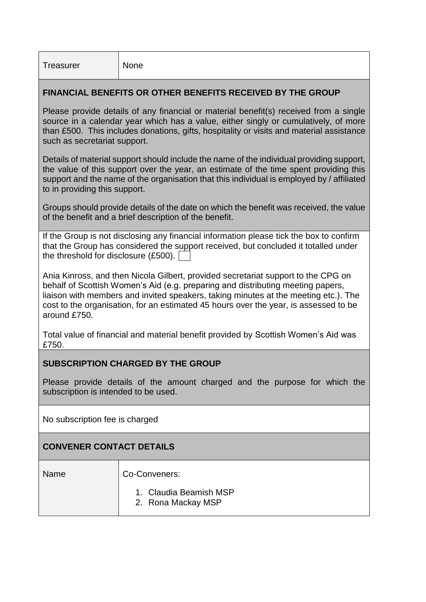### **FINANCIAL BENEFITS OR OTHER BENEFITS RECEIVED BY THE GROUP**

Please provide details of any financial or material benefit(s) received from a single source in a calendar year which has a value, either singly or cumulatively, of more than £500. This includes donations, gifts, hospitality or visits and material assistance such as secretariat support.

Details of material support should include the name of the individual providing support, the value of this support over the year, an estimate of the time spent providing this support and the name of the organisation that this individual is employed by / affiliated to in providing this support.

Groups should provide details of the date on which the benefit was received, the value of the benefit and a brief description of the benefit.

If the Group is not disclosing any financial information please tick the box to confirm that the Group has considered the support received, but concluded it totalled under the threshold for disclosure (£500).

Ania Kinross, and then Nicola Gilbert, provided secretariat support to the CPG on behalf of Scottish Women's Aid (e.g. preparing and distributing meeting papers, liaison with members and invited speakers, taking minutes at the meeting etc.). The cost to the organisation, for an estimated 45 hours over the year, is assessed to be around £750.

Total value of financial and material benefit provided by Scottish Women's Aid was £750.

## **SUBSCRIPTION CHARGED BY THE GROUP**

Please provide details of the amount charged and the purpose for which the subscription is intended to be used.

No subscription fee is charged

#### **CONVENER CONTACT DETAILS**

| Name | Co-Conveners:                                |
|------|----------------------------------------------|
|      | 1. Claudia Beamish MSP<br>2. Rona Mackay MSP |